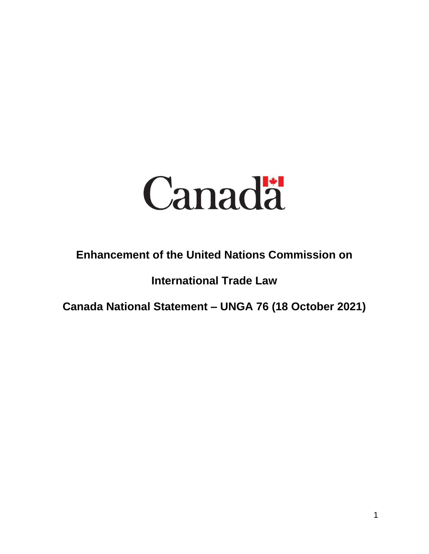

## **Enhancement of the United Nations Commission on**

## **International Trade Law**

**Canada National Statement – UNGA 76 (18 October 2021)**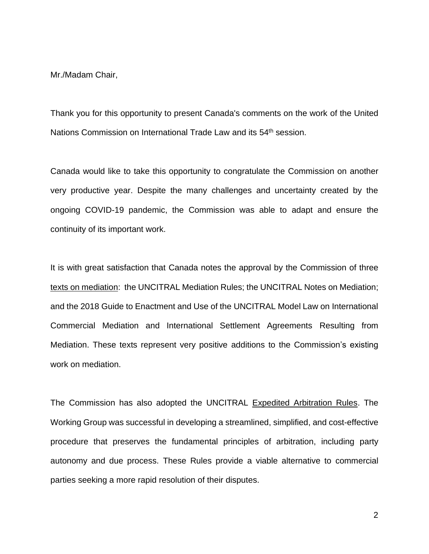Mr./Madam Chair,

Thank you for this opportunity to present Canada's comments on the work of the United Nations Commission on International Trade Law and its 54<sup>th</sup> session.

Canada would like to take this opportunity to congratulate the Commission on another very productive year. Despite the many challenges and uncertainty created by the ongoing COVID-19 pandemic, the Commission was able to adapt and ensure the continuity of its important work.

It is with great satisfaction that Canada notes the approval by the Commission of three texts on mediation: the UNCITRAL Mediation Rules; the UNCITRAL Notes on Mediation; and the 2018 Guide to Enactment and Use of the UNCITRAL Model Law on International Commercial Mediation and International Settlement Agreements Resulting from Mediation. These texts represent very positive additions to the Commission's existing work on mediation.

The Commission has also adopted the UNCITRAL Expedited Arbitration Rules. The Working Group was successful in developing a streamlined, simplified, and cost-effective procedure that preserves the fundamental principles of arbitration, including party autonomy and due process. These Rules provide a viable alternative to commercial parties seeking a more rapid resolution of their disputes.

2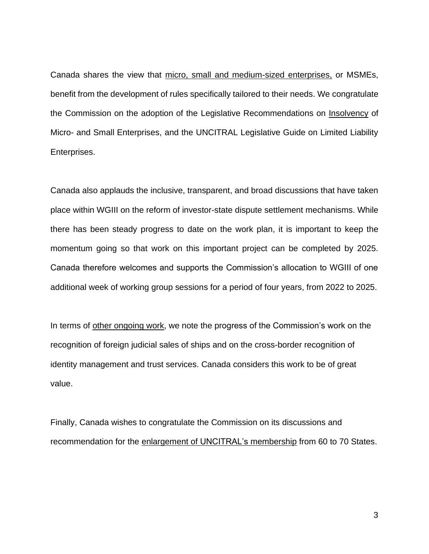Canada shares the view that micro, small and medium-sized enterprises, or MSMEs, benefit from the development of rules specifically tailored to their needs. We congratulate the Commission on the adoption of the Legislative Recommendations on Insolvency of Micro- and Small Enterprises, and the UNCITRAL Legislative Guide on Limited Liability Enterprises.

Canada also applauds the inclusive, transparent, and broad discussions that have taken place within WGIII on the reform of investor-state dispute settlement mechanisms. While there has been steady progress to date on the work plan, it is important to keep the momentum going so that work on this important project can be completed by 2025. Canada therefore welcomes and supports the Commission's allocation to WGIII of one additional week of working group sessions for a period of four years, from 2022 to 2025.

In terms of other ongoing work, we note the progress of the Commission's work on the recognition of foreign judicial sales of ships and on the cross-border recognition of identity management and trust services. Canada considers this work to be of great value.

Finally, Canada wishes to congratulate the Commission on its discussions and recommendation for the enlargement of UNCITRAL's membership from 60 to 70 States.

3